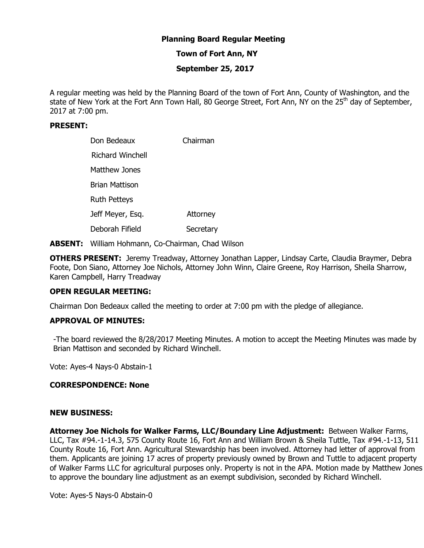# **Planning Board Regular Meeting**

# **Town of Fort Ann, NY**

# **September 25, 2017**

A regular meeting was held by the Planning Board of the town of Fort Ann, County of Washington, and the state of New York at the Fort Ann Town Hall, 80 George Street, Fort Ann, NY on the 25<sup>th</sup> day of September, 2017 at 7:00 pm.

## **PRESENT:**

| Don Bedeaux             | Chairman  |
|-------------------------|-----------|
| <b>Richard Winchell</b> |           |
| Matthew Jones           |           |
| Brian Mattison          |           |
| <b>Ruth Petteys</b>     |           |
| Jeff Meyer, Esq.        | Attorney  |
| Deborah Fifield         | Secretary |

**ABSENT:** William Hohmann, Co-Chairman, Chad Wilson

**OTHERS PRESENT:** Jeremy Treadway, Attorney Jonathan Lapper, Lindsay Carte, Claudia Braymer, Debra Foote, Don Siano, Attorney Joe Nichols, Attorney John Winn, Claire Greene, Roy Harrison, Sheila Sharrow, Karen Campbell, Harry Treadway

## **OPEN REGULAR MEETING:**

Chairman Don Bedeaux called the meeting to order at 7:00 pm with the pledge of allegiance.

## **APPROVAL OF MINUTES:**

-The board reviewed the 8/28/2017 Meeting Minutes. A motion to accept the Meeting Minutes was made by Brian Mattison and seconded by Richard Winchell.

Vote: Ayes-4 Nays-0 Abstain-1

## **CORRESPONDENCE: None**

#### **NEW BUSINESS:**

**Attorney Joe Nichols for Walker Farms, LLC/Boundary Line Adjustment:** Between Walker Farms, LLC, Tax #94.-1-14.3, 575 County Route 16, Fort Ann and William Brown & Sheila Tuttle, Tax #94.-1-13, 511 County Route 16, Fort Ann. Agricultural Stewardship has been involved. Attorney had letter of approval from them. Applicants are joining 17 acres of property previously owned by Brown and Tuttle to adjacent property of Walker Farms LLC for agricultural purposes only. Property is not in the APA. Motion made by Matthew Jones to approve the boundary line adjustment as an exempt subdivision, seconded by Richard Winchell.

Vote: Ayes-5 Nays-0 Abstain-0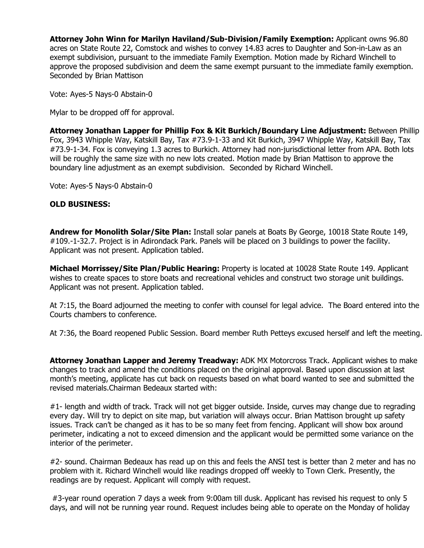**Attorney John Winn for Marilyn Haviland/Sub-Division/Family Exemption:** Applicant owns 96.80 acres on State Route 22, Comstock and wishes to convey 14.83 acres to Daughter and Son-in-Law as an exempt subdivision, pursuant to the immediate Family Exemption. Motion made by Richard Winchell to approve the proposed subdivision and deem the same exempt pursuant to the immediate family exemption. Seconded by Brian Mattison

Vote: Ayes-5 Nays-0 Abstain-0

Mylar to be dropped off for approval.

**Attorney Jonathan Lapper for Phillip Fox & Kit Burkich/Boundary Line Adjustment:** Between Phillip Fox, 3943 Whipple Way, Katskill Bay, Tax #73.9-1-33 and Kit Burkich, 3947 Whipple Way, Katskill Bay, Tax #73.9-1-34. Fox is conveying 1.3 acres to Burkich. Attorney had non-jurisdictional letter from APA. Both lots will be roughly the same size with no new lots created. Motion made by Brian Mattison to approve the boundary line adjustment as an exempt subdivision. Seconded by Richard Winchell.

Vote: Ayes-5 Nays-0 Abstain-0

## **OLD BUSINESS:**

**Andrew for Monolith Solar/Site Plan:** Install solar panels at Boats By George, 10018 State Route 149, #109.-1-32.7. Project is in Adirondack Park. Panels will be placed on 3 buildings to power the facility. Applicant was not present. Application tabled.

**Michael Morrissey/Site Plan/Public Hearing:** Property is located at 10028 State Route 149. Applicant wishes to create spaces to store boats and recreational vehicles and construct two storage unit buildings. Applicant was not present. Application tabled.

At 7:15, the Board adjourned the meeting to confer with counsel for legal advice. The Board entered into the Courts chambers to conference.

At 7:36, the Board reopened Public Session. Board member Ruth Petteys excused herself and left the meeting.

**Attorney Jonathan Lapper and Jeremy Treadway:** ADK MX Motorcross Track. Applicant wishes to make changes to track and amend the conditions placed on the original approval. Based upon discussion at last month's meeting, applicate has cut back on requests based on what board wanted to see and submitted the revised materials.Chairman Bedeaux started with:

#1- length and width of track. Track will not get bigger outside. Inside, curves may change due to regrading every day. Will try to depict on site map, but variation will always occur. Brian Mattison brought up safety issues. Track can't be changed as it has to be so many feet from fencing. Applicant will show box around perimeter, indicating a not to exceed dimension and the applicant would be permitted some variance on the interior of the perimeter.

#2- sound. Chairman Bedeaux has read up on this and feels the ANSI test is better than 2 meter and has no problem with it. Richard Winchell would like readings dropped off weekly to Town Clerk. Presently, the readings are by request. Applicant will comply with request.

 #3-year round operation 7 days a week from 9:00am till dusk. Applicant has revised his request to only 5 days, and will not be running year round. Request includes being able to operate on the Monday of holiday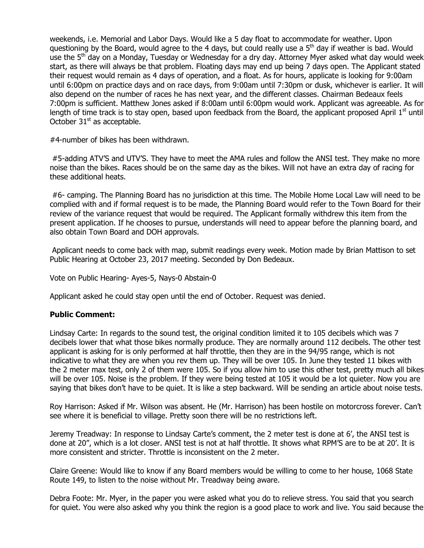weekends, i.e. Memorial and Labor Days. Would like a 5 day float to accommodate for weather. Upon questioning by the Board, would agree to the 4 days, but could really use a  $5<sup>th</sup>$  day if weather is bad. Would use the 5<sup>th</sup> day on a Monday, Tuesday or Wednesday for a dry day. Attorney Myer asked what day would week start, as there will always be that problem. Floating days may end up being 7 days open. The Applicant stated their request would remain as 4 days of operation, and a float. As for hours, applicate is looking for 9:00am until 6:00pm on practice days and on race days, from 9:00am until 7:30pm or dusk, whichever is earlier. It will also depend on the number of races he has next year, and the different classes. Chairman Bedeaux feels 7:00pm is sufficient. Matthew Jones asked if 8:00am until 6:00pm would work. Applicant was agreeable. As for length of time track is to stay open, based upon feedback from the Board, the applicant proposed April  $1<sup>st</sup>$  until October  $31<sup>st</sup>$  as acceptable.

#4-number of bikes has been withdrawn.

 #5-adding ATV'S and UTV'S. They have to meet the AMA rules and follow the ANSI test. They make no more noise than the bikes. Races should be on the same day as the bikes. Will not have an extra day of racing for these additional heats.

 #6- camping. The Planning Board has no jurisdiction at this time. The Mobile Home Local Law will need to be complied with and if formal request is to be made, the Planning Board would refer to the Town Board for their review of the variance request that would be required. The Applicant formally withdrew this item from the present application. If he chooses to pursue, understands will need to appear before the planning board, and also obtain Town Board and DOH approvals.

 Applicant needs to come back with map, submit readings every week. Motion made by Brian Mattison to set Public Hearing at October 23, 2017 meeting. Seconded by Don Bedeaux.

Vote on Public Hearing- Ayes-5, Nays-0 Abstain-0

Applicant asked he could stay open until the end of October. Request was denied.

## **Public Comment:**

Lindsay Carte: In regards to the sound test, the original condition limited it to 105 decibels which was 7 decibels lower that what those bikes normally produce. They are normally around 112 decibels. The other test applicant is asking for is only performed at half throttle, then they are in the 94/95 range, which is not indicative to what they are when you rev them up. They will be over 105. In June they tested 11 bikes with the 2 meter max test, only 2 of them were 105. So if you allow him to use this other test, pretty much all bikes will be over 105. Noise is the problem. If they were being tested at 105 it would be a lot quieter. Now you are saying that bikes don't have to be quiet. It is like a step backward. Will be sending an article about noise tests.

Roy Harrison: Asked if Mr. Wilson was absent. He (Mr. Harrison) has been hostile on motorcross forever. Can't see where it is beneficial to village. Pretty soon there will be no restrictions left.

Jeremy Treadway: In response to Lindsay Carte's comment, the 2 meter test is done at 6', the ANSI test is done at 20", which is a lot closer. ANSI test is not at half throttle. It shows what RPM'S are to be at 20'. It is more consistent and stricter. Throttle is inconsistent on the 2 meter.

Claire Greene: Would like to know if any Board members would be willing to come to her house, 1068 State Route 149, to listen to the noise without Mr. Treadway being aware.

Debra Foote: Mr. Myer, in the paper you were asked what you do to relieve stress. You said that you search for quiet. You were also asked why you think the region is a good place to work and live. You said because the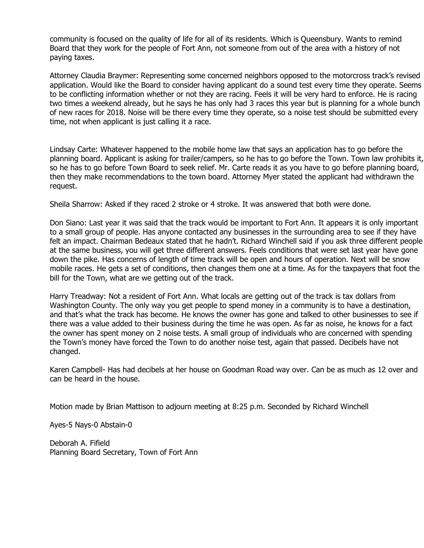community is focused on the quality of life for all of its residents. Which is Queensbury. Wants to remind Board that they work for the people of Fort Ann, not someone from out of the area with a history of not paying taxes.

Attorney Claudia Braymer: Representing some concerned neighbors opposed to the motorcross track's revised application. Would like the Board to consider having applicant do a sound test every time they operate. Seems to be conflicting information whether or not they are racing. Feels it will be very hard to enforce. He is racing two times a weekend already, but he says he has only had 3 races this year but is planning for a whole bunch of new races for 2018. Noise will be there every time they operate, so a noise test should be submitted every time, not when applicant is just calling it a race.

Lindsay Carte: Whatever happened to the mobile home law that says an application has to go before the planning board. Applicant is asking for trailer/campers, so he has to go before the Town. Town law prohibits it, so he has to go before Town Board to seek relief. Mr. Carte reads it as you have to go before planning board, then they make recommendations to the town board. Attorney Myer stated the applicant had withdrawn the request.

Sheila Sharrow: Asked if they raced 2 stroke or 4 stroke. It was answered that both were done.

Don Siano: Last year it was said that the track would be important to Fort Ann. It appears it is only important to a small group of people. Has anyone contacted any businesses in the surrounding area to see if they have felt an impact. Chairman Bedeaux stated that he hadn't. Richard Winchell said if you ask three different people at the same business, you will get three different answers. Feels conditions that were set last year have gone down the pike. Has concerns of length of time track will be open and hours of operation. Next will be snow mobile races. He gets a set of conditions, then changes them one at a time. As for the taxpayers that foot the bill for the Town, what are we getting out of the track.

Harry Treadway: Not a resident of Fort Ann. What locals are getting out of the track is tax dollars from Washington County. The only way you get people to spend money in a community is to have a destination, and that's what the track has become. He knows the owner has gone and talked to other businesses to see if there was a value added to their business during the time he was open. As far as noise, he knows for a fact the owner has spent money on 2 noise tests. A small group of individuals who are concerned with spending the Town's money have forced the Town to do another noise test, again that passed. Decibels have not changed.

Karen Campbell- Has had decibels at her house on Goodman Road way over. Can be as much as 12 over and can be heard in the house.

Motion made by Brian Mattison to adjourn meeting at 8:25 p.m. Seconded by Richard Winchell

Ayes-5 Nays-0 Abstain-0

Deborah A. Fifield Planning Board Secretary, Town of Fort Ann